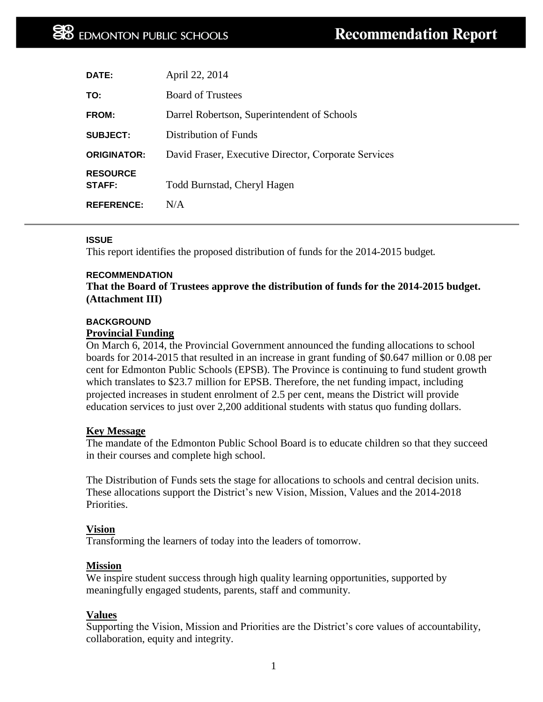| <b>DATE:</b>              | April 22, 2014                                       |
|---------------------------|------------------------------------------------------|
| TO:                       | <b>Board of Trustees</b>                             |
| <b>FROM:</b>              | Darrel Robertson, Superintendent of Schools          |
| <b>SUBJECT:</b>           | Distribution of Funds                                |
| <b>ORIGINATOR:</b>        | David Fraser, Executive Director, Corporate Services |
| <b>RESOURCE</b><br>STAFF: | Todd Burnstad, Cheryl Hagen                          |
| <b>REFERENCE:</b>         | N/A                                                  |

## **ISSUE**

This report identifies the proposed distribution of funds for the 2014-2015 budget.

## **RECOMMENDATION**

**That the Board of Trustees approve the distribution of funds for the 2014-2015 budget. (Attachment III)**

## **BACKGROUND Provincial Funding**

On March 6, 2014, the Provincial Government announced the funding allocations to school boards for 2014-2015 that resulted in an increase in grant funding of \$0.647 million or 0.08 per cent for Edmonton Public Schools (EPSB). The Province is continuing to fund student growth which translates to \$23.7 million for EPSB. Therefore, the net funding impact, including projected increases in student enrolment of 2.5 per cent, means the District will provide education services to just over 2,200 additional students with status quo funding dollars.

## **Key Message**

The mandate of the Edmonton Public School Board is to educate children so that they succeed in their courses and complete high school.

The Distribution of Funds sets the stage for allocations to schools and central decision units. These allocations support the District's new Vision, Mission, Values and the 2014-2018 Priorities.

## **Vision**

Transforming the learners of today into the leaders of tomorrow.

## **Mission**

We inspire student success through high quality learning opportunities, supported by meaningfully engaged students, parents, staff and community.

## **Values**

Supporting the Vision, Mission and Priorities are the District's core values of accountability, collaboration, equity and integrity.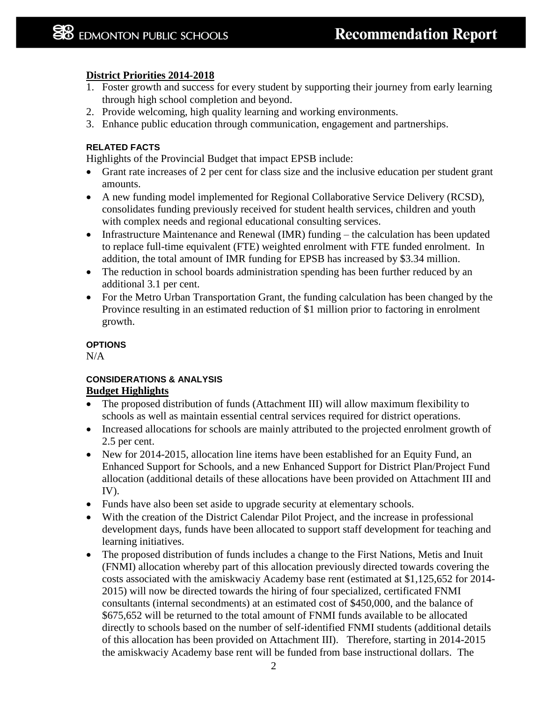# **District Priorities 2014-2018**

- 1. Foster growth and success for every student by supporting their journey from early learning through high school completion and beyond.
- 2. Provide welcoming, high quality learning and working environments.
- 3. Enhance public education through communication, engagement and partnerships.

## **RELATED FACTS**

Highlights of the Provincial Budget that impact EPSB include:

- Grant rate increases of 2 per cent for class size and the inclusive education per student grant amounts.
- A new funding model implemented for Regional Collaborative Service Delivery (RCSD), consolidates funding previously received for student health services, children and youth with complex needs and regional educational consulting services.
- Infrastructure Maintenance and Renewal (IMR) funding the calculation has been updated to replace full-time equivalent (FTE) weighted enrolment with FTE funded enrolment. In addition, the total amount of IMR funding for EPSB has increased by \$3.34 million.
- The reduction in school boards administration spending has been further reduced by an additional 3.1 per cent.
- For the Metro Urban Transportation Grant, the funding calculation has been changed by the Province resulting in an estimated reduction of \$1 million prior to factoring in enrolment growth.

## **OPTIONS**

N/A

## **CONSIDERATIONS & ANALYSIS Budget Highlights**

- The proposed distribution of funds (Attachment III) will allow maximum flexibility to schools as well as maintain essential central services required for district operations.
- Increased allocations for schools are mainly attributed to the projected enrolment growth of 2.5 per cent.
- New for 2014-2015, allocation line items have been established for an Equity Fund, an Enhanced Support for Schools, and a new Enhanced Support for District Plan/Project Fund allocation (additional details of these allocations have been provided on Attachment III and IV).
- Funds have also been set aside to upgrade security at elementary schools.
- With the creation of the District Calendar Pilot Project, and the increase in professional development days, funds have been allocated to support staff development for teaching and learning initiatives.
- The proposed distribution of funds includes a change to the First Nations, Metis and Inuit (FNMI) allocation whereby part of this allocation previously directed towards covering the costs associated with the amiskwaciy Academy base rent (estimated at \$1,125,652 for 2014- 2015) will now be directed towards the hiring of four specialized, certificated FNMI consultants (internal secondments) at an estimated cost of \$450,000, and the balance of \$675,652 will be returned to the total amount of FNMI funds available to be allocated directly to schools based on the number of self-identified FNMI students (additional details of this allocation has been provided on Attachment III). Therefore, starting in 2014-2015 the amiskwaciy Academy base rent will be funded from base instructional dollars. The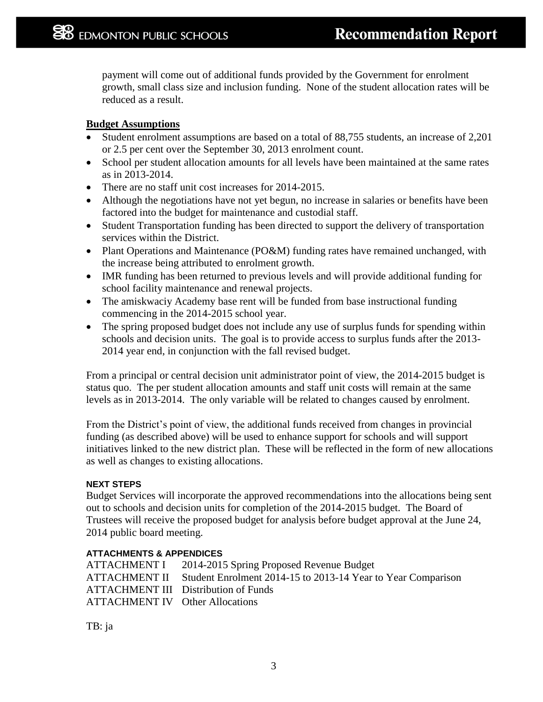payment will come out of additional funds provided by the Government for enrolment growth, small class size and inclusion funding. None of the student allocation rates will be reduced as a result.

# **Budget Assumptions**

- Student enrolment assumptions are based on a total of 88,755 students, an increase of 2,201 or 2.5 per cent over the September 30, 2013 enrolment count.
- School per student allocation amounts for all levels have been maintained at the same rates as in 2013-2014.
- There are no staff unit cost increases for 2014-2015.
- Although the negotiations have not yet begun, no increase in salaries or benefits have been factored into the budget for maintenance and custodial staff.
- Student Transportation funding has been directed to support the delivery of transportation services within the District.
- Plant Operations and Maintenance (PO&M) funding rates have remained unchanged, with the increase being attributed to enrolment growth.
- IMR funding has been returned to previous levels and will provide additional funding for school facility maintenance and renewal projects.
- The amiskwaciy Academy base rent will be funded from base instructional funding commencing in the 2014-2015 school year.
- The spring proposed budget does not include any use of surplus funds for spending within schools and decision units. The goal is to provide access to surplus funds after the 2013- 2014 year end, in conjunction with the fall revised budget.

From a principal or central decision unit administrator point of view, the 2014-2015 budget is status quo. The per student allocation amounts and staff unit costs will remain at the same levels as in 2013-2014. The only variable will be related to changes caused by enrolment.

From the District's point of view, the additional funds received from changes in provincial funding (as described above) will be used to enhance support for schools and will support initiatives linked to the new district plan. These will be reflected in the form of new allocations as well as changes to existing allocations.

# **NEXT STEPS**

Budget Services will incorporate the approved recommendations into the allocations being sent out to schools and decision units for completion of the 2014-2015 budget. The Board of Trustees will receive the proposed budget for analysis before budget approval at the June 24, 2014 public board meeting.

# **ATTACHMENTS & APPENDICES**

ATTACHMENT I 2014-2015 Spring Proposed Revenue Budget ATTACHMENT II Student Enrolment 2014-15 to 2013-14 Year to Year Comparison ATTACHMENT III Distribution of Funds ATTACHMENT IV Other Allocations

TB: ja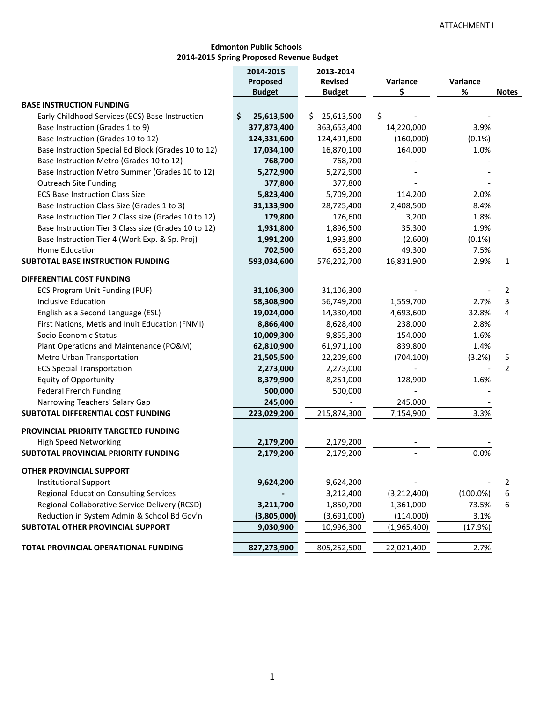### **Edmonton Public Schools 2014‐2015 Spring Proposed Revenue Budget**

|                                                      | 2014-2015        | 2013-2014         |             |             |                |
|------------------------------------------------------|------------------|-------------------|-------------|-------------|----------------|
|                                                      | Proposed         | <b>Revised</b>    | Variance    | Variance    |                |
|                                                      | <b>Budget</b>    | <b>Budget</b>     | \$          | %           | <b>Notes</b>   |
| <b>BASE INSTRUCTION FUNDING</b>                      |                  |                   |             |             |                |
| Early Childhood Services (ECS) Base Instruction      | \$<br>25,613,500 | \$.<br>25,613,500 | \$          |             |                |
| Base Instruction (Grades 1 to 9)                     | 377,873,400      | 363,653,400       | 14,220,000  | 3.9%        |                |
| Base Instruction (Grades 10 to 12)                   | 124,331,600      | 124,491,600       | (160,000)   | (0.1%)      |                |
| Base Instruction Special Ed Block (Grades 10 to 12)  | 17,034,100       | 16,870,100        | 164,000     | 1.0%        |                |
| Base Instruction Metro (Grades 10 to 12)             | 768,700          | 768,700           |             |             |                |
| Base Instruction Metro Summer (Grades 10 to 12)      | 5,272,900        | 5,272,900         |             |             |                |
| <b>Outreach Site Funding</b>                         | 377,800          | 377,800           |             |             |                |
| <b>ECS Base Instruction Class Size</b>               | 5,823,400        | 5,709,200         | 114,200     | 2.0%        |                |
| Base Instruction Class Size (Grades 1 to 3)          | 31,133,900       | 28,725,400        | 2,408,500   | 8.4%        |                |
| Base Instruction Tier 2 Class size (Grades 10 to 12) | 179,800          | 176,600           | 3,200       | 1.8%        |                |
| Base Instruction Tier 3 Class size (Grades 10 to 12) | 1,931,800        | 1,896,500         | 35,300      | 1.9%        |                |
| Base Instruction Tier 4 (Work Exp. & Sp. Proj)       | 1,991,200        | 1,993,800         | (2,600)     | (0.1%)      |                |
| Home Education                                       | 702,500          | 653,200           | 49,300      | 7.5%        |                |
| <b>SUBTOTAL BASE INSTRUCTION FUNDING</b>             | 593,034,600      | 576,202,700       | 16,831,900  | 2.9%        | 1              |
| DIFFERENTIAL COST FUNDING                            |                  |                   |             |             |                |
| ECS Program Unit Funding (PUF)                       | 31,106,300       | 31,106,300        |             |             | 2              |
| <b>Inclusive Education</b>                           | 58,308,900       | 56,749,200        | 1,559,700   | 2.7%        | 3              |
| English as a Second Language (ESL)                   | 19,024,000       | 14,330,400        | 4,693,600   | 32.8%       | 4              |
| First Nations, Metis and Inuit Education (FNMI)      | 8,866,400        | 8,628,400         | 238,000     | 2.8%        |                |
| Socio Economic Status                                | 10,009,300       | 9,855,300         | 154,000     | 1.6%        |                |
| Plant Operations and Maintenance (PO&M)              | 62,810,900       | 61,971,100        | 839,800     | 1.4%        |                |
| Metro Urban Transportation                           | 21,505,500       | 22,209,600        | (704, 100)  | (3.2%)      | 5              |
| <b>ECS Special Transportation</b>                    | 2,273,000        | 2,273,000         |             |             | $\overline{2}$ |
| <b>Equity of Opportunity</b>                         | 8,379,900        | 8,251,000         | 128,900     | 1.6%        |                |
| <b>Federal French Funding</b>                        | 500,000          | 500,000           |             |             |                |
| Narrowing Teachers' Salary Gap                       | 245,000          |                   | 245,000     |             |                |
| SUBTOTAL DIFFERENTIAL COST FUNDING                   | 223,029,200      | 215,874,300       | 7,154,900   | 3.3%        |                |
| PROVINCIAL PRIORITY TARGETED FUNDING                 |                  |                   |             |             |                |
| <b>High Speed Networking</b>                         | 2,179,200        | 2,179,200         |             |             |                |
| <b>SUBTOTAL PROVINCIAL PRIORITY FUNDING</b>          | 2,179,200        | 2,179,200         |             | 0.0%        |                |
|                                                      |                  |                   |             |             |                |
| <b>OTHER PROVINCIAL SUPPORT</b>                      |                  |                   |             |             |                |
| <b>Institutional Support</b>                         | 9,624,200        | 9,624,200         |             |             | $\overline{2}$ |
| <b>Regional Education Consulting Services</b>        |                  | 3,212,400         | (3,212,400) | $(100.0\%)$ | 6              |
| Regional Collaborative Service Delivery (RCSD)       | 3,211,700        | 1,850,700         | 1,361,000   | 73.5%       | 6              |
| Reduction in System Admin & School Bd Gov'n          | (3,805,000)      | (3,691,000)       | (114,000)   | 3.1%        |                |
| SUBTOTAL OTHER PROVINCIAL SUPPORT                    | 9,030,900        | 10,996,300        | (1,965,400) | (17.9%)     |                |
|                                                      |                  |                   |             |             |                |
| TOTAL PROVINCIAL OPERATIONAL FUNDING                 | 827,273,900      | 805,252,500       | 22,021,400  | 2.7%        |                |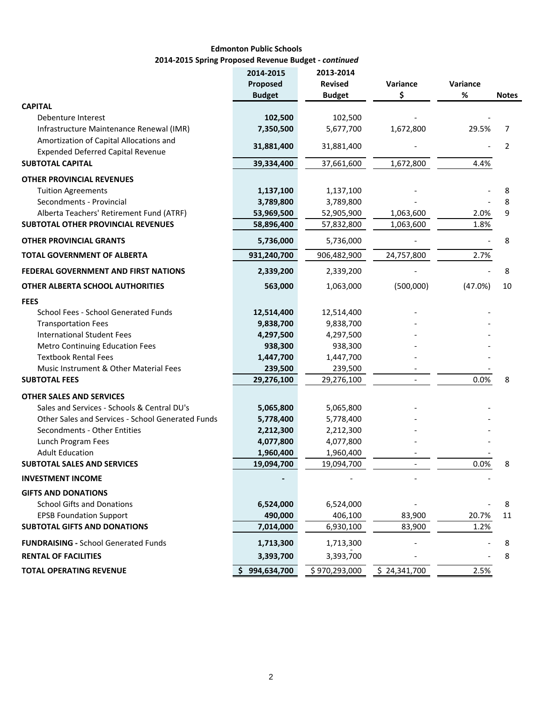## **Edmonton Public Schools 2014‐2015 Spring Proposed Revenue Budget ‐** *continued*

|                                                   | 2014-2015     | 2013-2014      |              |          |                |
|---------------------------------------------------|---------------|----------------|--------------|----------|----------------|
|                                                   | Proposed      | <b>Revised</b> | Variance     | Variance |                |
|                                                   | <b>Budget</b> | <b>Budget</b>  | Ś            | $\%$     | <b>Notes</b>   |
| <b>CAPITAL</b>                                    |               |                |              |          |                |
| Debenture Interest                                | 102,500       | 102,500        |              |          |                |
| Infrastructure Maintenance Renewal (IMR)          | 7,350,500     | 5,677,700      | 1,672,800    | 29.5%    | 7              |
| Amortization of Capital Allocations and           | 31,881,400    | 31,881,400     |              |          | $\overline{2}$ |
| <b>Expended Deferred Capital Revenue</b>          |               |                |              |          |                |
| <b>SUBTOTAL CAPITAL</b>                           | 39,334,400    | 37,661,600     | 1,672,800    | 4.4%     |                |
| <b>OTHER PROVINCIAL REVENUES</b>                  |               |                |              |          |                |
| <b>Tuition Agreements</b>                         | 1,137,100     | 1,137,100      |              |          | 8              |
| Secondments - Provincial                          | 3,789,800     | 3,789,800      |              |          | 8              |
| Alberta Teachers' Retirement Fund (ATRF)          | 53,969,500    | 52,905,900     | 1,063,600    | 2.0%     | 9              |
| SUBTOTAL OTHER PROVINCIAL REVENUES                | 58,896,400    | 57,832,800     | 1,063,600    | 1.8%     |                |
| <b>OTHER PROVINCIAL GRANTS</b>                    | 5,736,000     | 5,736,000      |              |          | 8              |
| <b>TOTAL GOVERNMENT OF ALBERTA</b>                | 931,240,700   | 906,482,900    | 24,757,800   | 2.7%     |                |
| <b>FEDERAL GOVERNMENT AND FIRST NATIONS</b>       | 2,339,200     | 2,339,200      |              |          | 8              |
| <b>OTHER ALBERTA SCHOOL AUTHORITIES</b>           | 563,000       | 1,063,000      | (500,000)    | (47.0%)  | 10             |
| <b>FEES</b>                                       |               |                |              |          |                |
| School Fees - School Generated Funds              | 12,514,400    | 12,514,400     |              |          |                |
| <b>Transportation Fees</b>                        | 9,838,700     | 9,838,700      |              |          |                |
| <b>International Student Fees</b>                 | 4,297,500     | 4,297,500      |              |          |                |
| <b>Metro Continuing Education Fees</b>            | 938,300       | 938,300        |              |          |                |
| <b>Textbook Rental Fees</b>                       | 1,447,700     | 1,447,700      |              |          |                |
| Music Instrument & Other Material Fees            | 239,500       | 239,500        |              |          |                |
| <b>SUBTOTAL FEES</b>                              | 29,276,100    | 29,276,100     |              | 0.0%     | 8              |
| <b>OTHER SALES AND SERVICES</b>                   |               |                |              |          |                |
| Sales and Services - Schools & Central DU's       | 5,065,800     | 5,065,800      |              |          |                |
| Other Sales and Services - School Generated Funds | 5,778,400     | 5,778,400      |              |          |                |
| Secondments - Other Entities                      | 2,212,300     | 2,212,300      |              |          |                |
| Lunch Program Fees                                | 4,077,800     | 4,077,800      |              |          |                |
| <b>Adult Education</b>                            | 1,960,400     | 1,960,400      |              |          |                |
| <b>SUBTOTAL SALES AND SERVICES</b>                | 19,094,700    | 19,094,700     |              | 0.0%     | 8              |
| <b>INVESTMENT INCOME</b>                          |               |                |              |          |                |
| <b>GIFTS AND DONATIONS</b>                        |               |                |              |          |                |
| <b>School Gifts and Donations</b>                 | 6,524,000     | 6,524,000      |              |          | 8              |
| <b>EPSB Foundation Support</b>                    | 490,000       | 406,100        | 83,900       | 20.7%    | 11             |
| <b>SUBTOTAL GIFTS AND DONATIONS</b>               | 7,014,000     | 6,930,100      | 83,900       | 1.2%     |                |
| <b>FUNDRAISING - School Generated Funds</b>       | 1,713,300     | 1,713,300      |              |          | 8              |
| <b>RENTAL OF FACILITIES</b>                       | 3,393,700     | 3,393,700      |              |          | 8              |
| <b>TOTAL OPERATING REVENUE</b>                    | \$994,634,700 | \$970,293,000  | \$24,341,700 | 2.5%     |                |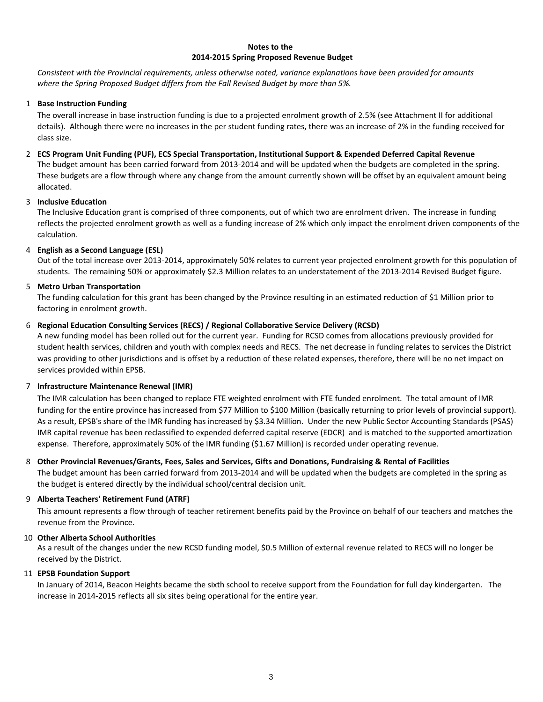#### **Notes to the 2014‐2015 Spring Proposed Revenue Budget**

Consistent with the Provincial requirements, unless otherwise noted, variance explanations have been provided for amounts *where the Spring Proposed Budget differs from the Fall Revised Budget by more than 5%.*

### 1 **Base Instruction Funding**

The overall increase in base instruction funding is due to a projected enrolment growth of 2.5% (see Attachment II for additional details). Although there were no increases in the per student funding rates, there was an increase of 2% in the funding received for class size.

### 2 **ECS Program Unit Funding (PUF), ECS Special Transportation, Institutional Support & Expended Deferred Capital Revenue** The budget amount has been carried forward from 2013‐2014 and will be updated when the budgets are completed in the spring. These budgets are a flow through where any change from the amount currently shown will be offset by an equivalent amount being allocated.

#### 3 **Inclusive Education**

The Inclusive Education grant is comprised of three components, out of which two are enrolment driven. The increase in funding reflects the projected enrolment growth as well as a funding increase of 2% which only impact the enrolment driven components of the calculation.

### 4 **English as a Second Language (ESL)**

Out of the total increase over 2013‐2014, approximately 50% relates to current year projected enrolment growth for this population of students. The remaining 50% or approximately \$2.3 Million relates to an understatement of the 2013‐2014 Revised Budget figure.

### 5 **Metro Urban Transportation**

The funding calculation for this grant has been changed by the Province resulting in an estimated reduction of \$1 Million prior to factoring in enrolment growth.

### 6 **Regional Education Consulting Services (RECS) / Regional Collaborative Service Delivery (RCSD)**

A new funding model has been rolled out for the current year. Funding for RCSD comes from allocations previously provided for student health services, children and youth with complex needs and RECS. The net decrease in funding relates to services the District was providing to other jurisdictions and is offset by a reduction of these related expenses, therefore, there will be no net impact on services provided within EPSB.

### 7 **Infrastructure Maintenance Renewal (IMR)**

The IMR calculation has been changed to replace FTE weighted enrolment with FTE funded enrolment. The total amount of IMR funding for the entire province has increased from \$77 Million to \$100 Million (basically returning to prior levels of provincial support). As a result, EPSB's share of the IMR funding has increased by \$3.34 Million. Under the new Public Sector Accounting Standards (PSAS) IMR capital revenue has been reclassified to expended deferred capital reserve (EDCR) and is matched to the supported amortization expense. Therefore, approximately 50% of the IMR funding (\$1.67 Million) is recorded under operating revenue.

### 8 **Other Provincial Revenues/Grants, Fees, Sales and Services, Gifts and Donations, Fundraising & Rental of Facilities**

The budget amount has been carried forward from 2013‐2014 and will be updated when the budgets are completed in the spring as the budget is entered directly by the individual school/central decision unit.

### 9 **Alberta Teachers' Retirement Fund (ATRF)**

This amount represents a flow through of teacher retirement benefits paid by the Province on behalf of our teachers and matches the revenue from the Province.

#### 10 **Other Alberta School Authorities**

As a result of the changes under the new RCSD funding model, \$0.5 Million of external revenue related to RECS will no longer be received by the District.

#### 11 **EPSB Foundation Support**

In January of 2014, Beacon Heights became the sixth school to receive support from the Foundation for full day kindergarten. The increase in 2014‐2015 reflects all six sites being operational for the entire year.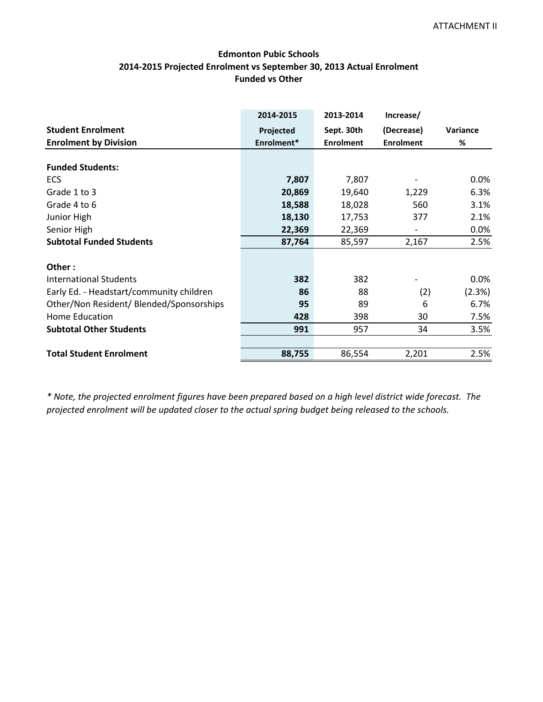## **Edmonton Pubic Schools 2014‐2015 Projected Enrolment vs September 30, 2013 Actual Enrolment Funded vs Other**

|                                          | 2014-2015  | 2013-2014        | Increase/        |          |
|------------------------------------------|------------|------------------|------------------|----------|
| <b>Student Enrolment</b>                 | Projected  | Sept. 30th       | (Decrease)       | Variance |
| <b>Enrolment by Division</b>             | Enrolment* | <b>Enrolment</b> | <b>Enrolment</b> | %        |
|                                          |            |                  |                  |          |
| <b>Funded Students:</b>                  |            |                  |                  |          |
| <b>ECS</b>                               | 7,807      | 7,807            |                  | $0.0\%$  |
| Grade 1 to 3                             | 20,869     | 19,640           | 1,229            | 6.3%     |
| Grade 4 to 6                             | 18,588     | 18,028           | 560              | 3.1%     |
| Junior High                              | 18,130     | 17,753           | 377              | 2.1%     |
| Senior High                              | 22,369     | 22,369           |                  | 0.0%     |
| <b>Subtotal Funded Students</b>          | 87,764     | 85,597           | 2,167            | 2.5%     |
| Other:                                   |            |                  |                  |          |
| <b>International Students</b>            | 382        | 382              |                  | $0.0\%$  |
| Early Ed. - Headstart/community children | 86         | 88               | (2)              | (2.3%)   |
| Other/Non Resident/ Blended/Sponsorships | 95         | 89               | 6                | 6.7%     |
| Home Education                           | 428        | 398              | 30               | 7.5%     |
| <b>Subtotal Other Students</b>           | 991        | 957              | 34               | 3.5%     |
|                                          |            |                  |                  |          |
| <b>Total Student Enrolment</b>           | 88,755     | 86,554           | 2,201            | 2.5%     |

\* Note, the projected enrolment figures have been prepared based on a high level district wide forecast. The *projected enrolment will be updated closer to the actual spring budget being released to the schools.*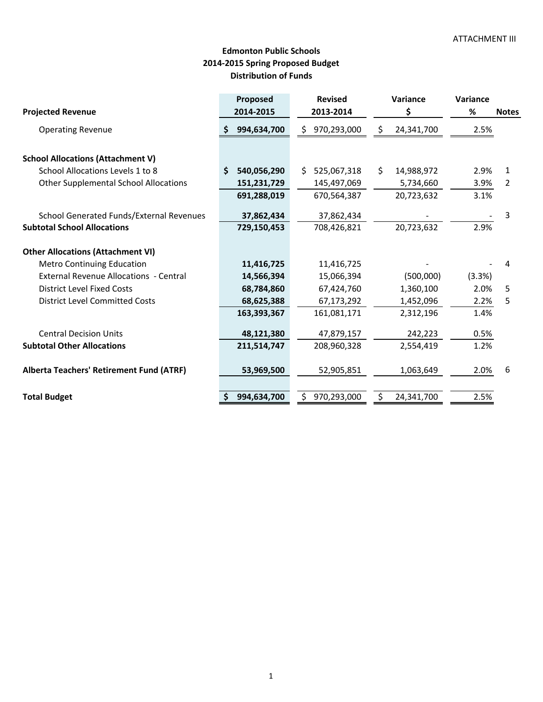# **Distribution of Funds Edmonton Public Schools 2014‐2015 Spring Proposed Budget**

|                                                 | Proposed          | <b>Revised</b>     | Variance         | Variance |              |
|-------------------------------------------------|-------------------|--------------------|------------------|----------|--------------|
| <b>Projected Revenue</b>                        | 2014-2015         | 2013-2014          | \$               | %        | <b>Notes</b> |
| <b>Operating Revenue</b>                        | 994,634,700       | 970,293,000<br>\$. | 24,341,700       | 2.5%     |              |
| <b>School Allocations (Attachment V)</b>        |                   |                    |                  |          |              |
| School Allocations Levels 1 to 8                | Ŝ.<br>540,056,290 | 525,067,318<br>S.  | \$<br>14,988,972 | 2.9%     | 1            |
| <b>Other Supplemental School Allocations</b>    | 151,231,729       | 145,497,069        | 5,734,660        | 3.9%     | 2            |
|                                                 | 691,288,019       | 670,564,387        | 20,723,632       | 3.1%     |              |
| <b>School Generated Funds/External Revenues</b> | 37,862,434        | 37,862,434         |                  |          | 3            |
| <b>Subtotal School Allocations</b>              | 729,150,453       | 708,426,821        | 20,723,632       | 2.9%     |              |
| <b>Other Allocations (Attachment VI)</b>        |                   |                    |                  |          |              |
| <b>Metro Continuing Education</b>               | 11,416,725        | 11,416,725         |                  |          | 4            |
| <b>External Revenue Allocations - Central</b>   | 14,566,394        | 15,066,394         | (500,000)        | (3.3%)   |              |
| District Level Fixed Costs                      | 68,784,860        | 67,424,760         | 1,360,100        | 2.0%     | 5            |
| <b>District Level Committed Costs</b>           | 68,625,388        | 67,173,292         | 1,452,096        | 2.2%     | 5            |
|                                                 | 163,393,367       | 161,081,171        | 2,312,196        | 1.4%     |              |
| <b>Central Decision Units</b>                   | 48,121,380        | 47,879,157         | 242,223          | 0.5%     |              |
| <b>Subtotal Other Allocations</b>               | 211,514,747       | 208,960,328        | 2,554,419        | 1.2%     |              |
| <b>Alberta Teachers' Retirement Fund (ATRF)</b> | 53,969,500        | 52,905,851         | 1,063,649        | 2.0%     | 6            |
| <b>Total Budget</b>                             | 994,634,700       | 970,293,000<br>Ś.  | 24,341,700       | 2.5%     |              |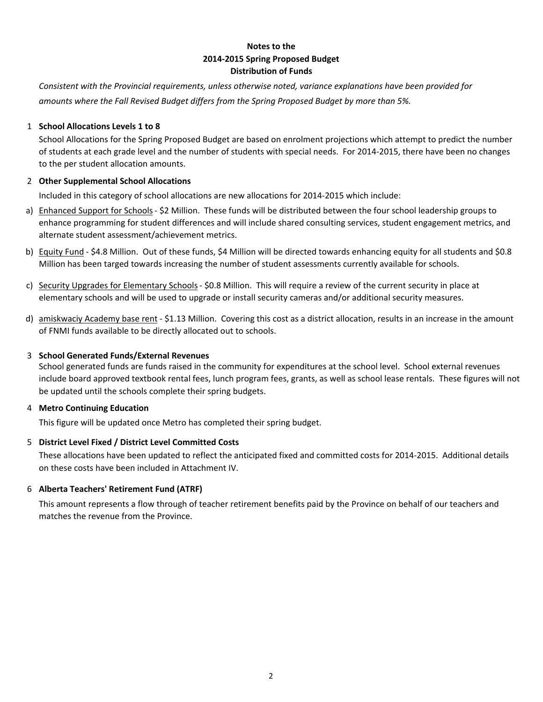## **Notes to the 2014‐2015 Spring Proposed Budget Distribution of Funds**

*Consistent with the Provincial requirements, unless otherwise noted, variance explanations have been provided for amounts where the Fall Revised Budget differs from the Spring Proposed Budget by more than 5%.*

## 1 **School Allocations Levels 1 to 8**

School Allocations for the Spring Proposed Budget are based on enrolment projections which attempt to predict the number of students at each grade level and the number of students with special needs. For 2014‐2015, there have been no changes to the per student allocation amounts.

## 2 **Other Supplemental School Allocations**

Included in this category of school allocations are new allocations for 2014‐2015 which include:

- a) Enhanced Support for Schools \$2 Million. These funds will be distributed between the four school leadership groups to enhance programming for student differences and will include shared consulting services, student engagement metrics, and alternate student assessment/achievement metrics.
- b) Equity Fund \$4.8 Million. Out of these funds, \$4 Million will be directed towards enhancing equity for all students and \$0.8 Million has been targed towards increasing the number of student assessments currently available for schools.
- c) Security Upgrades for Elementary Schools \$0.8 Million. This will require a review of the current security in place at elementary schools and will be used to upgrade or install security cameras and/or additional security measures.
- d) amiskwaciy Academy base rent \$1.13 Million. Covering this cost as a district allocation, results in an increase in the amount of FNMI funds available to be directly allocated out to schools.

## 3 **School Generated Funds/External Revenues**

School generated funds are funds raised in the community for expenditures at the school level. School external revenues include board approved textbook rental fees, lunch program fees, grants, as well as school lease rentals. These figures will not be updated until the schools complete their spring budgets.

## 4 **Metro Continuing Education**

This figure will be updated once Metro has completed their spring budget.

## 5 **District Level Fixed / District Level Committed Costs**

These allocations have been updated to reflect the anticipated fixed and committed costs for 2014‐2015. Additional details on these costs have been included in Attachment IV.

## 6 **Alberta Teachers' Retirement Fund (ATRF)**

This amount represents a flow through of teacher retirement benefits paid by the Province on behalf of our teachers and matches the revenue from the Province.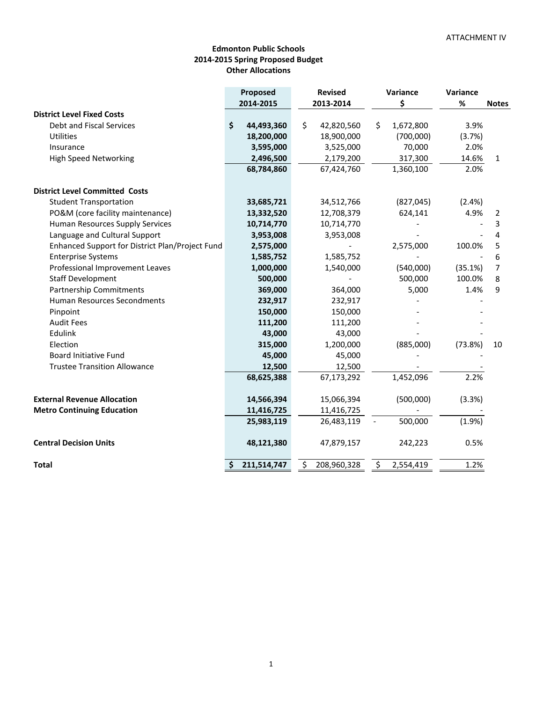### **Edmonton Public Schools 2014‐2015 Spring Proposed Budget Other Allocations**

|                                                 | Proposed<br><b>Revised</b> |                   | Variance        | Variance |              |
|-------------------------------------------------|----------------------------|-------------------|-----------------|----------|--------------|
|                                                 | 2014-2015                  | 2013-2014         | \$              | %        | <b>Notes</b> |
| <b>District Level Fixed Costs</b>               |                            |                   |                 |          |              |
| Debt and Fiscal Services                        | \$<br>44,493,360           | \$<br>42,820,560  | \$<br>1,672,800 | 3.9%     |              |
| Utilities                                       | 18,200,000                 | 18,900,000        | (700,000)       | (3.7%)   |              |
| Insurance                                       | 3,595,000                  | 3,525,000         | 70,000          | 2.0%     |              |
| <b>High Speed Networking</b>                    | 2,496,500                  | 2,179,200         | 317,300         | 14.6%    | $\mathbf{1}$ |
|                                                 | 68,784,860                 | 67,424,760        | 1,360,100       | 2.0%     |              |
| <b>District Level Committed Costs</b>           |                            |                   |                 |          |              |
| <b>Student Transportation</b>                   | 33,685,721                 | 34,512,766        | (827, 045)      | (2.4%)   |              |
| PO&M (core facility maintenance)                | 13,332,520                 | 12,708,379        | 624,141         | 4.9%     | 2            |
| Human Resources Supply Services                 | 10,714,770                 | 10,714,770        |                 |          | 3            |
| Language and Cultural Support                   | 3,953,008                  | 3,953,008         |                 |          | 4            |
| Enhanced Support for District Plan/Project Fund | 2,575,000                  |                   | 2,575,000       | 100.0%   | 5            |
| <b>Enterprise Systems</b>                       | 1,585,752                  | 1,585,752         |                 |          | 6            |
| Professional Improvement Leaves                 | 1,000,000                  | 1,540,000         | (540,000)       | (35.1%)  | 7            |
| <b>Staff Development</b>                        | 500,000                    |                   | 500,000         | 100.0%   | 8            |
| <b>Partnership Commitments</b>                  | 369,000                    | 364,000           | 5,000           | 1.4%     | 9            |
| <b>Human Resources Secondments</b>              | 232,917                    | 232,917           |                 |          |              |
| Pinpoint                                        | 150,000                    | 150,000           |                 |          |              |
| <b>Audit Fees</b>                               | 111,200                    | 111,200           |                 |          |              |
| Edulink                                         | 43,000                     | 43,000            |                 |          |              |
| Election                                        | 315,000                    | 1,200,000         | (885,000)       | (73.8%)  | 10           |
| <b>Board Initiative Fund</b>                    | 45,000                     | 45,000            |                 |          |              |
| <b>Trustee Transition Allowance</b>             | 12,500                     | 12,500            |                 |          |              |
|                                                 | 68,625,388                 | 67,173,292        | 1,452,096       | 2.2%     |              |
| <b>External Revenue Allocation</b>              | 14,566,394                 | 15,066,394        | (500,000)       | (3.3%)   |              |
| <b>Metro Continuing Education</b>               | 11,416,725                 | 11,416,725        |                 |          |              |
|                                                 | 25,983,119                 | 26,483,119        | 500,000         | (1.9%)   |              |
| <b>Central Decision Units</b>                   | 48,121,380                 | 47,879,157        | 242,223         | 0.5%     |              |
| <b>Total</b>                                    | 211,514,747<br>\$          | \$<br>208,960,328 | \$<br>2,554,419 | 1.2%     |              |